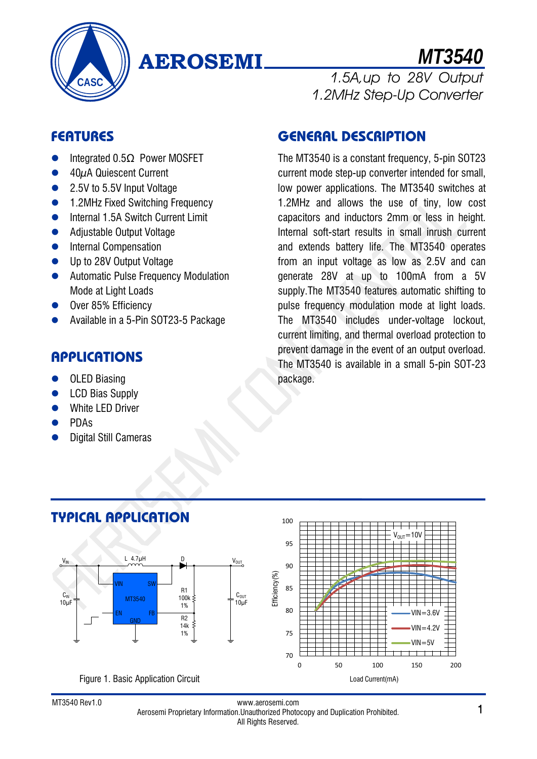

# **AEROSEMI**

*MT3540* 1.5A,up to 28V Output

# **FEATURES**

- $\bullet$  Integrated 0.5 $\Omega$  Power MOSFET
- $\bullet$  40 $\mu$ A Quiescent Current
- 2.5V to 5.5V Input Voltage
- 1.2MHz Fixed Switching Frequency
- **•** Internal 1.5A Switch Current Limit
- Adjustable Output Voltage
- **•** Internal Compensation
- Up to 28V Output Voltage
- **•** Automatic Pulse Frequency Modulation Mode at Light Loads
- Over 85% Efficiency
- Available in a 5-Pin SOT23-5 Package

## **APPLICATIONS**

- OLED Biasing
- LCD Bias Supply
- White LED Driver
- PDAs
- Digital Still Cameras

## **GENERAL DESCRIPTION**

The MT3540 is a constant frequency, 5-pin SOT23 current mode step-up converter intended for small, low power applications. The MT3540 switches at 1.2MHz and allows the use of tiny, low cost capacitors and inductors 2mm or less in height. Internal soft-start results in small inrush current and extends battery life. The MT3540 operates from an input voltage as low as 2.5V and can generate 28V at up to 100mA from a 5V supply.The MT3540 features automatic shifting to pulse frequency modulation mode at light loads. The MT3540 includes under-voltage lockout, current limiting, and thermal overload protection to prevent damage in the event of an output overload. The MT3540 is available in a small 5-pin SOT-23 package.

1.2MHz Step-Up Converter





100

#### www.aerosemi.com www.aerosemi.com<br>Aerosemi Proprietary Information.Unauthorized Photocopy and Duplication Prohibited. 1 All Rights Reserved.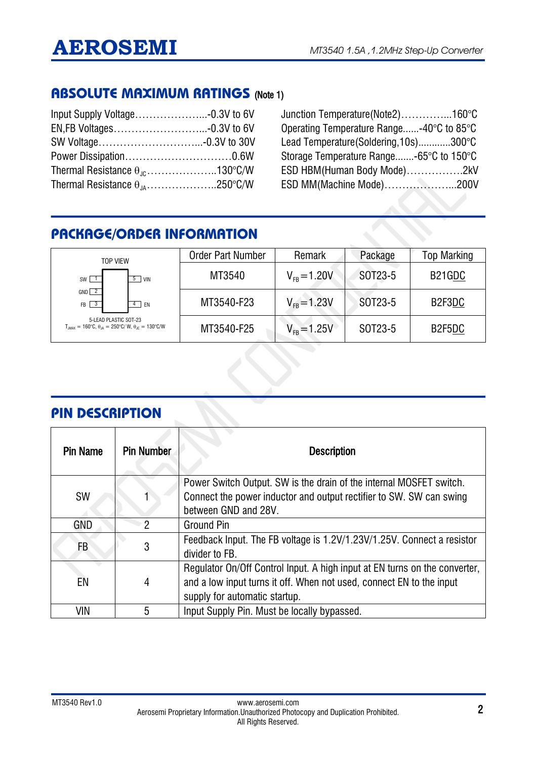### **ABSOLUTE MAXIMUM RATINGS** (Note 1)

| Thermal Resistance $\theta_{10}$ 130°C/W |  |
|------------------------------------------|--|
| Thermal Resistance $\theta_{1A}$ 250°C/W |  |

Junction Temperature(Note2)…………...160°C Operating Temperature Range......-40°C to 85°C Lead Temperature(Soldering,10s)............300°C Storage Temperature Range.......-65°C to 150°C ESD HBM(Human Body Mode)…………….2kV ESD MM(Machine Mode)………………...200V

# **PACKAGE/ORDER INFORMATION**

| <b>TOP VIFW</b>                                                                                                         | <b>Order Part Number</b> | Remark            | Package | <b>Top Marking</b> |
|-------------------------------------------------------------------------------------------------------------------------|--------------------------|-------------------|---------|--------------------|
| I VIN<br>5<br>$SW$ 1                                                                                                    | MT3540                   | $V_{FB} = 1.20 V$ | SOT23-5 | B21GDC             |
| $GND$ 2<br>$FB$ $3$<br>4   EN                                                                                           | MT3540-F23               | $V_{FB} = 1.23V$  | SOT23-5 | B2F3DC             |
| 5-LEAD PLASTIC SOT-23<br>$T_{.IMAX} = 160^{\circ}C$ , $\theta_{.IA} = 250^{\circ}C/W$ , $\theta_{.IC} = 130^{\circ}C/W$ | MT3540-F25               | $V_{FB} = 1.25V$  | SOT23-5 | B2F5DC             |

### **PIN DESCRIPTION**

| <b>Pin Name</b> | <b>Pin Number</b> | <b>Description</b>                                                                                                                                                                  |
|-----------------|-------------------|-------------------------------------------------------------------------------------------------------------------------------------------------------------------------------------|
| <b>SW</b>       |                   | Power Switch Output. SW is the drain of the internal MOSFET switch.<br>Connect the power inductor and output rectifier to SW. SW can swing<br>between GND and 28V.                  |
| GND             | $\mathcal{P}$     | Ground Pin                                                                                                                                                                          |
| FB              | 3                 | Feedback Input. The FB voltage is 1.2V/1.23V/1.25V. Connect a resistor<br>divider to FB.                                                                                            |
| EN              | 4                 | Regulator On/Off Control Input. A high input at EN turns on the converter,<br>and a low input turns it off. When not used, connect EN to the input<br>supply for automatic startup. |
| VIN             | 5                 | Input Supply Pin. Must be locally bypassed.                                                                                                                                         |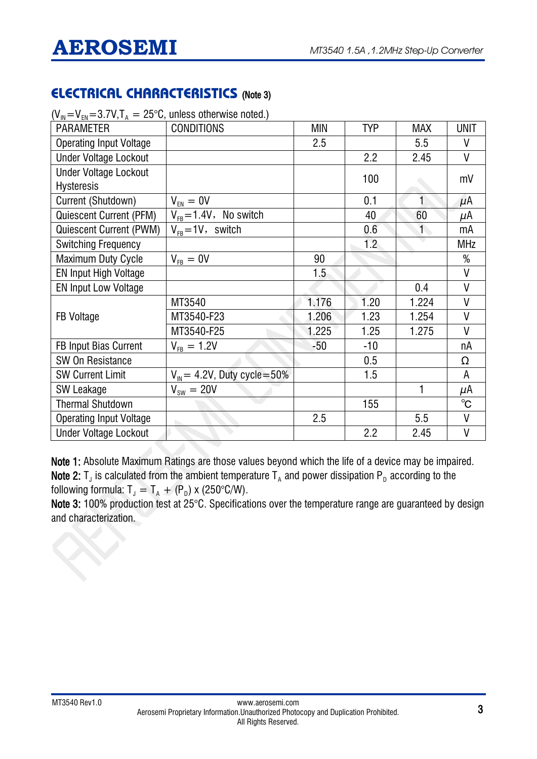# **ELECTRICAL CHARACTERISTICS** (Note 3)

| $\mathbf{v}_{\parallel}$ $\mathbf{v}_{\parallel}$ $\mathbf{v}_{\parallel}$ $\mathbf{v}_{\parallel}$ $\mathbf{v}_{\parallel}$ $\mathbf{v}_{\parallel}$ $\mathbf{v}_{\parallel}$ $\mathbf{v}_{\parallel}$ | $-$ 20 $\sigma$ , anioso otherwise noted. |       |                  |              |              |
|---------------------------------------------------------------------------------------------------------------------------------------------------------------------------------------------------------|-------------------------------------------|-------|------------------|--------------|--------------|
| <b>PARAMETER</b>                                                                                                                                                                                        | <b>CONDITIONS</b>                         | MIN   | <b>TYP</b>       | <b>MAX</b>   | <b>UNIT</b>  |
| <b>Operating Input Voltage</b>                                                                                                                                                                          |                                           | 2.5   |                  | 5.5          | V            |
| <b>Under Voltage Lockout</b>                                                                                                                                                                            |                                           |       | 2.2              | 2.45         | V            |
| <b>Under Voltage Lockout</b>                                                                                                                                                                            |                                           |       | 100              |              | mV           |
| <b>Hysteresis</b>                                                                                                                                                                                       |                                           |       |                  |              |              |
| Current (Shutdown)                                                                                                                                                                                      | $V_{EN} = 0V$                             |       | 0.1              |              | μΑ           |
| <b>Quiescent Current (PFM)</b>                                                                                                                                                                          | $V_{FB} = 1.4V$ , No switch               |       | 40               | 60           | μΑ           |
| <b>Quiescent Current (PWM)</b>                                                                                                                                                                          | $V_{FB} = 1V$ , switch                    |       | 0.6              | $\mathbf{1}$ | mA           |
| <b>Switching Frequency</b>                                                                                                                                                                              |                                           |       | 1.2 <sub>1</sub> |              | <b>MHz</b>   |
| <b>Maximum Duty Cycle</b>                                                                                                                                                                               | $V_{FB} = 0V$                             | 90    |                  |              | $\%$         |
| <b>EN Input High Voltage</b>                                                                                                                                                                            |                                           | 1.5   |                  |              | V            |
| <b>EN Input Low Voltage</b>                                                                                                                                                                             |                                           |       |                  | 0.4          | V            |
|                                                                                                                                                                                                         | MT3540                                    | 1.176 | 1.20             | 1.224        | V            |
| <b>FB Voltage</b>                                                                                                                                                                                       | MT3540-F23                                | 1.206 | 1.23             | 1.254        | V            |
|                                                                                                                                                                                                         | MT3540-F25                                | 1.225 | 1.25             | 1.275        | V            |
| <b>FB Input Bias Current</b>                                                                                                                                                                            | $V_{FB} = 1.2V$                           | $-50$ | $-10$            |              | пA           |
| <b>SW On Resistance</b>                                                                                                                                                                                 |                                           |       | 0.5              |              | Ω            |
| <b>SW Current Limit</b>                                                                                                                                                                                 | $V_{\text{IN}}$ = 4.2V, Duty cycle=50%    |       | 1.5              |              | A            |
| SW Leakage                                                                                                                                                                                              | $V_{sw} = 20V$                            |       |                  | 1            | μΑ           |
| <b>Thermal Shutdown</b>                                                                                                                                                                                 |                                           |       | 155              |              | $^{\circ}$ C |
| <b>Operating Input Voltage</b>                                                                                                                                                                          |                                           | 2.5   |                  | 5.5          | V            |
| <b>Under Voltage Lockout</b>                                                                                                                                                                            |                                           |       | 2.2              | 2.45         | V            |

 $(V_m=V_m=3.7V,T_A = 25^{\circ}C$ , unless otherwise noted.)

Note 1: Absolute Maximum Ratings are those values beyond which the life of a device may be impaired. Note 2:  $T_J$  is calculated from the ambient temperature  $T_A$  and power dissipation  $P_D$  according to the following formula:  $T_J = T_A + (P_D) \times (250^{\circ} \text{C/W}).$ 

Note 3: 100% production test at 25°C. Specifications over the temperature range are guaranteed by design and characterization.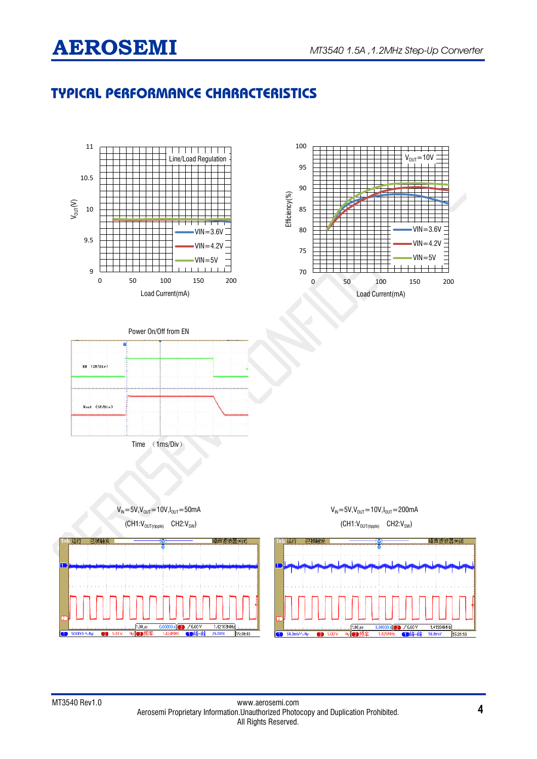# **AEROSEMI** MT3540 1.5A ,1.2MHz Step-Up Converter

# **TYPICAL PERFORMANCE CHARACTERISTICS**

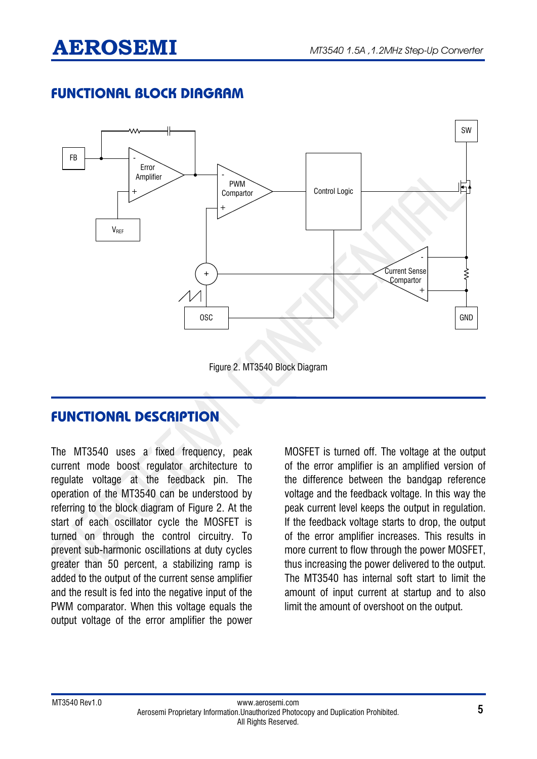# **AEROSEMI** MT3540 1.5A ,1.2MHz Step-Up Converter

# **FUNCTIONAL BLOCK DIAGRAM**



# **FUNCTIONAL DESCRIPTION**

The MT3540 uses a fixed frequency, peak current mode boost regulator architecture to regulate voltage at the feedback pin. The operation of the MT3540 can be understood by referring to the block diagram of Figure 2. At the start of each oscillator cycle the MOSFET is turned on through the control circuitry. To prevent sub-harmonic oscillations at duty cycles greater than 50 percent, a stabilizing ramp is added to the output of the current sense amplifier and the result is fed into the negative input of the PWM comparator. When this voltage equals the output voltage of the error amplifier the power

MOSFET is turned off. The voltage at the output of the error amplifier is an amplified version of the difference between the bandgap reference voltage and the feedback voltage. In this way the peak current level keeps the output in regulation. If the feedback voltage starts to drop, the output of the error amplifier increases. This results in more current to flow through the power MOSFET, thus increasing the power delivered to the output. The MT3540 has internal soft start to limit the amount of input current at startup and to also limit the amount of overshoot on the output.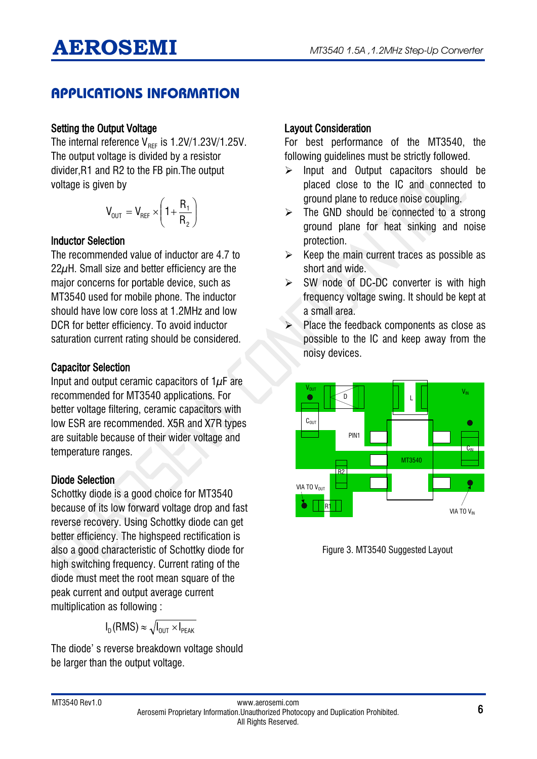# **APPLICATIONS INFORMATION**

### Setting the Output Voltage

The internal reference  $V_{BFF}$  is 1.2V/1.23V/1.25V. The output voltage is divided by a resistor divider,R1 and R2 to the FB pin.The output voltage is given by

$$
V_{\text{OUT}} = V_{\text{REF}} \times \left(1 + \frac{R_1}{R_2}\right)
$$

#### Inductor Selection

The recommended value of inductor are 4.7 to  $22\mu$ H. Small size and better efficiency are the major concerns for portable device, such as MT3540 used for mobile phone. The inductor should have low core loss at 1.2MHz and low DCR for better efficiency. To avoid inductor saturation current rating should be considered.

### Capacitor Selection

Input and output ceramic capacitors of  $1\mu$ F are recommended for MT3540 applications. For better voltage filtering, ceramic capacitors with low ESR are recommended. X5R and X7R types are suitable because of their wider voltage and temperature ranges.

### Diode Selection

Schottky diode is a good choice for MT3540 because of its low forward voltage drop and fast reverse recovery. Using Schottky diode can get better efficiency. The highspeed rectification is also a good characteristic of Schottky diode for high switching frequency. Current rating of the diode must meet the root mean square of the peak current and output average current multiplication as following :

$$
I_D(RMS) \approx \sqrt{I_{OUT} \times I_{PEAK}}
$$

The diode' s reverse breakdown voltage should be larger than the output voltage.

### Layout Consideration

For best performance of the MT3540, the following guidelines must be strictly followed.

- $\triangleright$  Input and Output capacitors should be placed close to the IC and connected to ground plane to reduce noise coupling.
- $\triangleright$  The GND should be connected to a strong ground plane for heat sinking and noise protection.
- $\triangleright$  Keep the main current traces as possible as short and wide.
- $>$  SW node of DC-DC converter is with high frequency voltage swing. It should be kept at a small area.
- Place the feedback components as close as possible to the IC and keep away from the noisy devices.



Figure 3. MT3540 Suggested Layout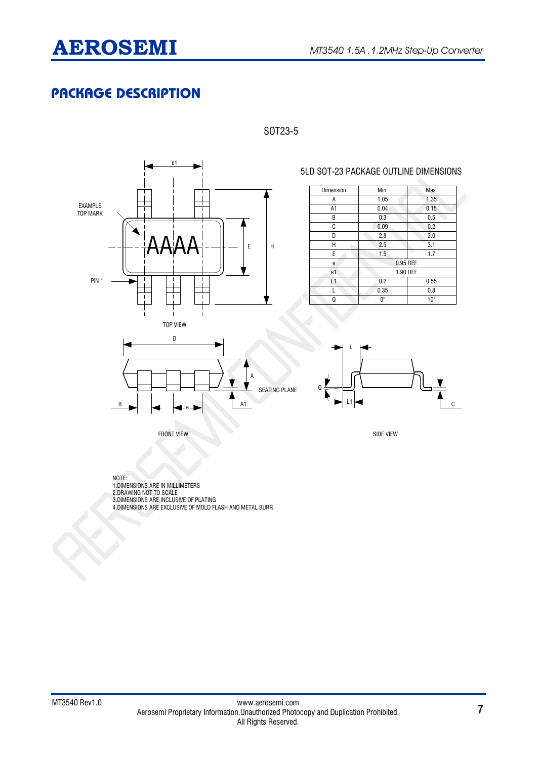# **PACKAGE DESCRIPTION**



### SOT23-5

Dimension Min. Max. A A1 B  $\overline{\mathfrak{c}}$  $\overline{D}$  $\overline{H}$  $\overline{F}$ e e1 1.05 1.35 0.04 0.15 0.3 0.5 0.09 0.2 2.8 3.0  $\begin{array}{|c|c|c|}\n\hline\n2.5 & 3.1 \\
\hline\n1.5 & 1.7\n\end{array}$  $\overline{1.5}$ 0.95 REF 1.90 REF. L1 0.2 0.55 L 0.35 0.8  $\Omega$  0° 10°

5LD SOT-23 PACKAGE OUTLINE DIMENSIONS



FRONT VIEW SIDE VIEW SIDE VIEW SIDE VIEW SIDE VIEW SIDE VIEW SIDE VIEW SIDE VIEW SIDE VIEW SIDE VIEW SIDE VIEW



NOTE: 1.DIMENSIONS ARE IN MILLIMETERS 2.DRAWING NOT TO SCALE 3.DIMENSIONS ARE INCLUSIVE OF PLATING 4.DIMENSIONS ARE EXCLUSIVE OF MOLD FLASH AND METAL BURR